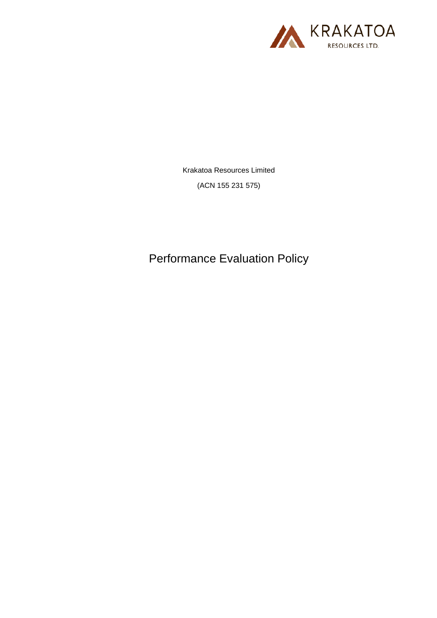

Krakatoa Resources Limited

(ACN 155 231 575)

Performance Evaluation Policy